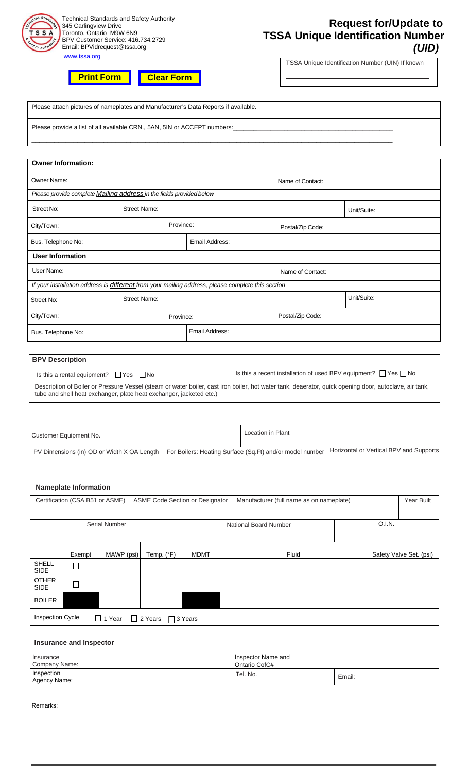

Technical Standards and Safety Authority 345 Carlingview Drive Toronto, Ontario M9W 6N9 BPV Customer Service: 416.734.2729 Email: [BPVidre](http://www.tssa.org/)quest@tssa.org www.tssa.org

# **Request for/Update to TSSA Unique Identification Number**  *(UID)*

TSSA Unique Identification Number (UIN) If known

*\_\_\_\_\_\_\_\_\_\_\_\_\_\_\_\_\_\_\_\_\_\_\_\_\_\_\_\_\_\_\_\_\_\_\_\_\_\_\_\_\_\_* **Print Form Clear Form**

Please attach pictures of nameplates and Manufacturer's Data Reports if available.

Please provide a list of all available CRN., 5AN, 5IN or ACCEPT numbers:

| <b>Owner Information:</b>                                                                                |                     |           |                  |                  |             |  |  |
|----------------------------------------------------------------------------------------------------------|---------------------|-----------|------------------|------------------|-------------|--|--|
| Owner Name:                                                                                              |                     |           |                  | Name of Contact: |             |  |  |
| Please provide complete Mailing address in the fields provided below                                     |                     |           |                  |                  |             |  |  |
| Street No:                                                                                               | <b>Street Name:</b> |           |                  |                  | Unit/Suite: |  |  |
| City/Town:                                                                                               |                     | Province: |                  | Postal/Zip Code: |             |  |  |
| Bus. Telephone No:                                                                                       |                     |           | Email Address:   |                  |             |  |  |
| <b>User Information</b>                                                                                  |                     |           |                  |                  |             |  |  |
| User Name:                                                                                               |                     |           |                  | Name of Contact: |             |  |  |
| If your installation address is <i>different</i> from your mailing address, please complete this section |                     |           |                  |                  |             |  |  |
| Street No:                                                                                               | <b>Street Name:</b> |           |                  |                  | Unit/Suite: |  |  |
| City/Town:<br>Province:                                                                                  |                     |           | Postal/Zip Code: |                  |             |  |  |
| Bus. Telephone No:                                                                                       |                     |           | Email Address:   |                  |             |  |  |

 $\_$  ,  $\_$  ,  $\_$  ,  $\_$  ,  $\_$  ,  $\_$  ,  $\_$  ,  $\_$  ,  $\_$  ,  $\_$  ,  $\_$  ,  $\_$  ,  $\_$  ,  $\_$  ,  $\_$  ,  $\_$  ,  $\_$  ,  $\_$  ,  $\_$  ,  $\_$  ,  $\_$  ,  $\_$  ,  $\_$  ,  $\_$  ,  $\_$  ,  $\_$  ,  $\_$  ,  $\_$  ,  $\_$  ,  $\_$  ,  $\_$  ,  $\_$  ,  $\_$  ,  $\_$  ,  $\_$  ,  $\_$  ,  $\_$  ,

## **BPV Description**

| Is this a rental equipment? $\Box$ Yes $\Box$ No                                                                                                                                                                              |  | Is this a recent installation of used BPV equipment? $\Box$ Yes $\Box$ No |                                         |  |  |  |
|-------------------------------------------------------------------------------------------------------------------------------------------------------------------------------------------------------------------------------|--|---------------------------------------------------------------------------|-----------------------------------------|--|--|--|
| Description of Boiler or Pressure Vessel (steam or water boiler, cast iron boiler, hot water tank, deaerator, quick opening door, autoclave, air tank,<br>tube and shell heat exchanger, plate heat exchanger, jacketed etc.) |  |                                                                           |                                         |  |  |  |
|                                                                                                                                                                                                                               |  |                                                                           |                                         |  |  |  |
| Customer Equipment No.                                                                                                                                                                                                        |  | Location in Plant                                                         |                                         |  |  |  |
| PV Dimensions (in) OD or Width X OA Length                                                                                                                                                                                    |  | For Boilers: Heating Surface (Sq.Ft) and/or model number                  | Horizontal or Vertical BPV and Supports |  |  |  |
|                                                                                                                                                                                                                               |  |                                                                           |                                         |  |  |  |

| <b>Nameplate Information</b>                                       |        |            |            |                                          |        |       |            |  |                         |
|--------------------------------------------------------------------|--------|------------|------------|------------------------------------------|--------|-------|------------|--|-------------------------|
| Certification (CSA B51 or ASME)<br>ASME Code Section or Designator |        |            |            | Manufacturer (full name as on nameplate) |        |       | Year Built |  |                         |
|                                                                    |        |            |            |                                          |        |       |            |  |                         |
| <b>Serial Number</b>                                               |        |            |            | <b>National Board Number</b>             | O.I.N. |       |            |  |                         |
|                                                                    |        |            |            |                                          |        |       |            |  |                         |
|                                                                    | Exempt | MAWP (psi) | Temp. (°F) | <b>MDMT</b>                              |        | Fluid |            |  | Safety Valve Set. (psi) |
| <b>SHELL</b><br><b>SIDE</b>                                        | □      |            |            |                                          |        |       |            |  |                         |
| <b>OTHER</b><br><b>SIDE</b>                                        | □      |            |            |                                          |        |       |            |  |                         |
| <b>BOILER</b>                                                      |        |            |            |                                          |        |       |            |  |                         |
| <b>Inspection Cycle</b><br>□ 1 Year □ 2 Years □ 3 Years            |        |            |            |                                          |        |       |            |  |                         |

## **Insurance and Inspector**

| Insurance                  | Inspector Name and |        |  |
|----------------------------|--------------------|--------|--|
| Company Name:              | Ontario CofC#      |        |  |
| Inspection<br>Agency Name: | Tel. No.           | Email: |  |

Remarks: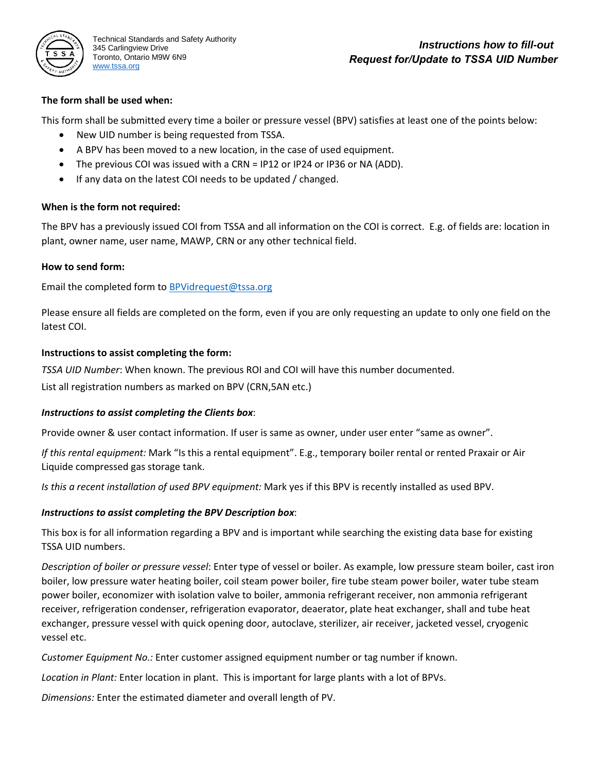

## **The form shall be used when:**

This form shall be submitted every time a boiler or pressure vessel (BPV) satisfies at least one of the points below:

- New UID number is being requested from TSSA.
- A BPV has been moved to a new location, in the case of used equipment.
- The previous COI was issued with a CRN = IP12 or IP24 or IP36 or NA (ADD).
- If any data on the latest COI needs to be updated / changed.

#### **When is the form not required:**

The BPV has a previously issued COI from TSSA and all information on the COI is correct. E.g. of fields are: location in plant, owner name, user name, MAWP, CRN or any other technical field.

#### **How to send form:**

Email the completed form to **BPVidrequest@tssa.org** 

Please ensure all fields are completed on the form, even if you are only requesting an update to only one field on the latest COI.

#### **Instructions to assist completing the form:**

*TSSA UID Number*: When known. The previous ROI and COI will have this number documented.

List all registration numbers as marked on BPV (CRN,5AN etc.)

#### *Instructions to assist completing the Clients box*:

Provide owner & user contact information. If user is same as owner, under user enter "same as owner".

*If this rental equipment:* Mark "Is this a rental equipment". E.g., temporary boiler rental or rented Praxair or Air Liquide compressed gas storage tank.

*Is this a recent installation of used BPV equipment:* Mark yes if this BPV is recently installed as used BPV.

#### *Instructions to assist completing the BPV Description box*:

This box is for all information regarding a BPV and is important while searching the existing data base for existing TSSA UID numbers.

*Description of boiler or pressure vessel*: Enter type of vessel or boiler. As example, low pressure steam boiler, cast iron boiler, low pressure water heating boiler, coil steam power boiler, fire tube steam power boiler, water tube steam power boiler, economizer with isolation valve to boiler, ammonia refrigerant receiver, non ammonia refrigerant receiver, refrigeration condenser, refrigeration evaporator, deaerator, plate heat exchanger, shall and tube heat exchanger, pressure vessel with quick opening door, autoclave, sterilizer, air receiver, jacketed vessel, cryogenic vessel etc.

*Customer Equipment No.:* Enter customer assigned equipment number or tag number if known.

*Location in Plant:* Enter location in plant. This is important for large plants with a lot of BPVs.

*Dimensions:* Enter the estimated diameter and overall length of PV.